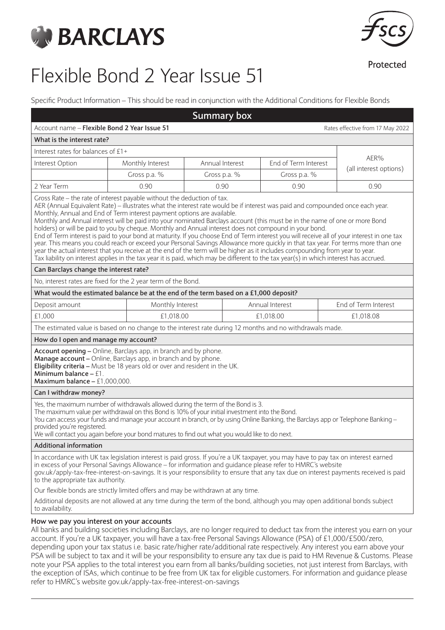



Protected

# Flexible Bond 2 Year Issue 51

Specific Product Information – This should be read in conjunction with the Additional Conditions for Flexible Bonds

|                                                                                                                                                                                                                                                                                                                                                                                                                                                                                                                                                                                                                                                                                                                                                                                                                                                                                                                                                                                                                                                                                             |           |                                                                                                          | <b>Summary box</b>                      |                 |  |                                  |  |
|---------------------------------------------------------------------------------------------------------------------------------------------------------------------------------------------------------------------------------------------------------------------------------------------------------------------------------------------------------------------------------------------------------------------------------------------------------------------------------------------------------------------------------------------------------------------------------------------------------------------------------------------------------------------------------------------------------------------------------------------------------------------------------------------------------------------------------------------------------------------------------------------------------------------------------------------------------------------------------------------------------------------------------------------------------------------------------------------|-----------|----------------------------------------------------------------------------------------------------------|-----------------------------------------|-----------------|--|----------------------------------|--|
| Account name - Flexible Bond 2 Year Issue 51                                                                                                                                                                                                                                                                                                                                                                                                                                                                                                                                                                                                                                                                                                                                                                                                                                                                                                                                                                                                                                                |           |                                                                                                          |                                         |                 |  | Rates effective from 17 May 2022 |  |
| What is the interest rate?                                                                                                                                                                                                                                                                                                                                                                                                                                                                                                                                                                                                                                                                                                                                                                                                                                                                                                                                                                                                                                                                  |           |                                                                                                          |                                         |                 |  |                                  |  |
| Interest rates for balances of £1+                                                                                                                                                                                                                                                                                                                                                                                                                                                                                                                                                                                                                                                                                                                                                                                                                                                                                                                                                                                                                                                          |           |                                                                                                          |                                         |                 |  |                                  |  |
| Monthly Interest<br>Interest Option                                                                                                                                                                                                                                                                                                                                                                                                                                                                                                                                                                                                                                                                                                                                                                                                                                                                                                                                                                                                                                                         |           |                                                                                                          | End of Term Interest<br>Annual Interest |                 |  | AER%                             |  |
| Gross p.a. %                                                                                                                                                                                                                                                                                                                                                                                                                                                                                                                                                                                                                                                                                                                                                                                                                                                                                                                                                                                                                                                                                |           | Gross p.a. %                                                                                             |                                         | Gross p.a. %    |  | (all interest options)           |  |
| 2 Year Term                                                                                                                                                                                                                                                                                                                                                                                                                                                                                                                                                                                                                                                                                                                                                                                                                                                                                                                                                                                                                                                                                 | 0.90      | 0.90                                                                                                     |                                         | 0.90            |  | 0.90                             |  |
| Gross Rate - the rate of interest payable without the deduction of tax.<br>AER (Annual Equivalent Rate) – illustrates what the interest rate would be if interest was paid and compounded once each year.<br>Monthly, Annual and End of Term interest payment options are available.<br>Monthly and Annual interest will be paid into your nominated Barclays account (this must be in the name of one or more Bond<br>holders) or will be paid to you by cheque. Monthly and Annual interest does not compound in your bond.<br>End of Term interest is paid to your bond at maturity. If you choose End of Term interest you will receive all of your interest in one tax<br>year. This means you could reach or exceed your Personal Savings Allowance more quickly in that tax year. For terms more than one<br>year the actual interest that you receive at the end of the term will be higher as it includes compounding from year to year.<br>Tax liability on interest applies in the tax year it is paid, which may be different to the tax year(s) in which interest has accrued. |           |                                                                                                          |                                         |                 |  |                                  |  |
| Can Barclays change the interest rate?                                                                                                                                                                                                                                                                                                                                                                                                                                                                                                                                                                                                                                                                                                                                                                                                                                                                                                                                                                                                                                                      |           |                                                                                                          |                                         |                 |  |                                  |  |
| No, interest rates are fixed for the 2 year term of the Bond.                                                                                                                                                                                                                                                                                                                                                                                                                                                                                                                                                                                                                                                                                                                                                                                                                                                                                                                                                                                                                               |           |                                                                                                          |                                         |                 |  |                                  |  |
| What would the estimated balance be at the end of the term based on a £1,000 deposit?                                                                                                                                                                                                                                                                                                                                                                                                                                                                                                                                                                                                                                                                                                                                                                                                                                                                                                                                                                                                       |           |                                                                                                          |                                         |                 |  |                                  |  |
| Deposit amount                                                                                                                                                                                                                                                                                                                                                                                                                                                                                                                                                                                                                                                                                                                                                                                                                                                                                                                                                                                                                                                                              |           | Monthly Interest                                                                                         |                                         | Annual Interest |  | End of Term Interest             |  |
| £1,000                                                                                                                                                                                                                                                                                                                                                                                                                                                                                                                                                                                                                                                                                                                                                                                                                                                                                                                                                                                                                                                                                      | £1,018.00 |                                                                                                          |                                         | £1,018.00       |  | £1,018.08                        |  |
|                                                                                                                                                                                                                                                                                                                                                                                                                                                                                                                                                                                                                                                                                                                                                                                                                                                                                                                                                                                                                                                                                             |           | The estimated value is based on no change to the interest rate during 12 months and no withdrawals made. |                                         |                 |  |                                  |  |
| How do I open and manage my account?                                                                                                                                                                                                                                                                                                                                                                                                                                                                                                                                                                                                                                                                                                                                                                                                                                                                                                                                                                                                                                                        |           |                                                                                                          |                                         |                 |  |                                  |  |
| Account opening - Online, Barclays app, in branch and by phone.<br>Manage account - Online, Barclays app, in branch and by phone.<br>Eligibility criteria - Must be 18 years old or over and resident in the UK.<br>Minimum balance - £1.<br>Maximum balance $- f1,000,000$ .                                                                                                                                                                                                                                                                                                                                                                                                                                                                                                                                                                                                                                                                                                                                                                                                               |           |                                                                                                          |                                         |                 |  |                                  |  |
| Can I withdraw money?                                                                                                                                                                                                                                                                                                                                                                                                                                                                                                                                                                                                                                                                                                                                                                                                                                                                                                                                                                                                                                                                       |           |                                                                                                          |                                         |                 |  |                                  |  |
| Yes, the maximum number of withdrawals allowed during the term of the Bond is 3.<br>The maximum value per withdrawal on this Bond is 10% of your initial investment into the Bond.<br>You can access your funds and manage your account in branch, or by using Online Banking, the Barclays app or Telephone Banking –<br>provided you're registered.<br>We will contact you again before your bond matures to find out what you would like to do next.                                                                                                                                                                                                                                                                                                                                                                                                                                                                                                                                                                                                                                     |           |                                                                                                          |                                         |                 |  |                                  |  |
| <b>Additional information</b>                                                                                                                                                                                                                                                                                                                                                                                                                                                                                                                                                                                                                                                                                                                                                                                                                                                                                                                                                                                                                                                               |           |                                                                                                          |                                         |                 |  |                                  |  |
| In accordance with UK tax legislation interest is paid gross. If you're a UK taxpayer, you may have to pay tax on interest earned<br>in excess of your Personal Savings Allowance - for information and quidance please refer to HMRC's website<br>gov.uk/apply-tax-free-interest-on-savings. It is your responsibility to ensure that any tax due on interest payments received is paid<br>to the appropriate tax authority.                                                                                                                                                                                                                                                                                                                                                                                                                                                                                                                                                                                                                                                               |           |                                                                                                          |                                         |                 |  |                                  |  |
| Our flexible bonds are strictly limited offers and may be withdrawn at any time.                                                                                                                                                                                                                                                                                                                                                                                                                                                                                                                                                                                                                                                                                                                                                                                                                                                                                                                                                                                                            |           |                                                                                                          |                                         |                 |  |                                  |  |
| Additional deposits are not allowed at any time during the term of the bond, although you may open additional bonds subject<br>to availability.                                                                                                                                                                                                                                                                                                                                                                                                                                                                                                                                                                                                                                                                                                                                                                                                                                                                                                                                             |           |                                                                                                          |                                         |                 |  |                                  |  |
| How we pay you interest on your accounts<br>All banks and building societies including Barclays, are no longer required to deduct tax from the interest you earn on your<br>account. If you're a UK taxpayer, you will have a tax-free Personal Savings Allowance (PSA) of £1,000/£500/zero,<br>depending upon your tax status i.e. basic rate/higher rate/additional rate respectively. Any interest you earn above your<br>PSA will be subject to tax and it will be your responsibility to ensure any tax due is paid to HM Revenue & Customs. Please                                                                                                                                                                                                                                                                                                                                                                                                                                                                                                                                    |           |                                                                                                          |                                         |                 |  |                                  |  |

note your PSA applies to the total interest you earn from all banks/building societies, not just interest from Barclays, with the exception of ISAs, which continue to be free from UK tax for eligible customers. For information and guidance please refer to HMRC's website gov.uk/apply-tax-free-interest-on-savings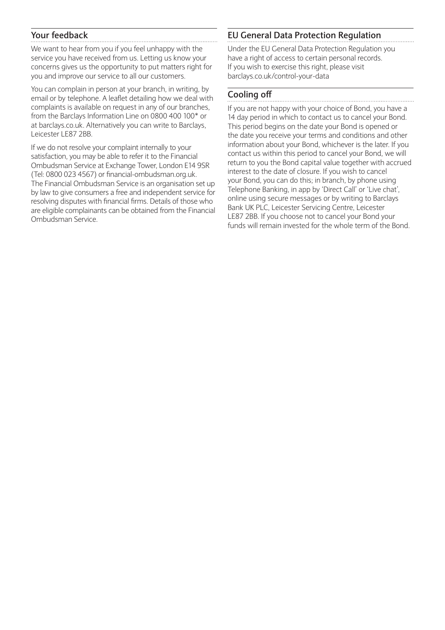### **Your feedback**

We want to hear from you if you feel unhappy with the service you have received from us. Letting us know your concerns gives us the opportunity to put matters right for you and improve our service to all our customers.

You can complain in person at your branch, in writing, by email or by telephone. A leaflet detailing how we deal with complaints is available on request in any of our branches, from the Barclays Information Line on 0800 400 100\* or at barclays.co.uk. Alternatively you can write to Barclays, Leicester LE87 2BB.

If we do not resolve your complaint internally to your satisfaction, you may be able to refer it to the Financial Ombudsman Service at Exchange Tower, London E14 9SR (Tel: 0800 023 4567) or financial-ombudsman.org.uk. The Financial Ombudsman Service is an organisation set up by law to give consumers a free and independent service for resolving disputes with financial firms. Details of those who are eligible complainants can be obtained from the Financial Ombudsman Service.

## **EU General Data Protection Regulation**

Under the EU General Data Protection Regulation you have a right of access to certain personal records. If you wish to exercise this right, please visit barclays.co.uk/control-your-data

## **Cooling off**

If you are not happy with your choice of Bond, you have a 14 day period in which to contact us to cancel your Bond. This period begins on the date your Bond is opened or the date you receive your terms and conditions and other information about your Bond, whichever is the later. If you contact us within this period to cancel your Bond, we will return to you the Bond capital value together with accrued interest to the date of closure. If you wish to cancel your Bond, you can do this; in branch, by phone using Telephone Banking, in app by 'Direct Call' or 'Live chat', online using secure messages or by writing to Barclays Bank UK PLC, Leicester Servicing Centre, Leicester LE87 2BB. If you choose not to cancel your Bond your funds will remain invested for the whole term of the Bond.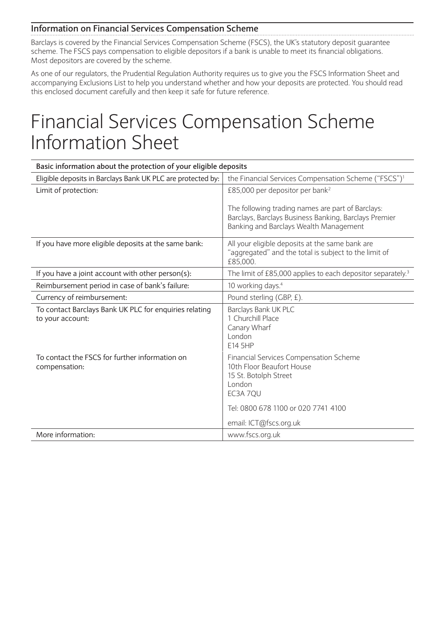### **Information on Financial Services Compensation Scheme**

Barclays is covered by the Financial Services Compensation Scheme (FSCS), the UK's statutory deposit guarantee scheme. The FSCS pays compensation to eligible depositors if a bank is unable to meet its financial obligations. Most depositors are covered by the scheme.

As one of our regulators, the Prudential Regulation Authority requires us to give you the FSCS Information Sheet and accompanying Exclusions List to help you understand whether and how your deposits are protected. You should read this enclosed document carefully and then keep it safe for future reference.

## Financial Services Compensation Scheme Information Sheet

| Basic information about the protection of your eligible deposits           |                                                                                                                                                                                            |  |  |  |  |
|----------------------------------------------------------------------------|--------------------------------------------------------------------------------------------------------------------------------------------------------------------------------------------|--|--|--|--|
| Eligible deposits in Barclays Bank UK PLC are protected by:                | the Financial Services Compensation Scheme ("FSCS") <sup>1</sup>                                                                                                                           |  |  |  |  |
| Limit of protection:                                                       | £85,000 per depositor per bank <sup>2</sup>                                                                                                                                                |  |  |  |  |
|                                                                            | The following trading names are part of Barclays:<br>Barclays, Barclays Business Banking, Barclays Premier<br>Banking and Barclays Wealth Management                                       |  |  |  |  |
| If you have more eligible deposits at the same bank:                       | All your eligible deposits at the same bank are<br>"aggregated" and the total is subject to the limit of<br>£85,000.                                                                       |  |  |  |  |
| If you have a joint account with other person(s):                          | The limit of £85,000 applies to each depositor separately. <sup>3</sup>                                                                                                                    |  |  |  |  |
| Reimbursement period in case of bank's failure:                            | 10 working days. <sup>4</sup>                                                                                                                                                              |  |  |  |  |
| Currency of reimbursement:                                                 | Pound sterling (GBP, £).                                                                                                                                                                   |  |  |  |  |
| To contact Barclays Bank UK PLC for enquiries relating<br>to your account: | Barclays Bank UK PLC<br>1 Churchill Place<br>Canary Wharf<br>London<br>E14 5HP                                                                                                             |  |  |  |  |
| To contact the FSCS for further information on<br>compensation:            | <b>Financial Services Compensation Scheme</b><br>10th Floor Beaufort House<br>15 St. Botolph Street<br>London<br>EC3A 7QU<br>Tel: 0800 678 1100 or 020 7741 4100<br>email: ICT@fscs.org.uk |  |  |  |  |
| More information:                                                          | www.fscs.org.uk                                                                                                                                                                            |  |  |  |  |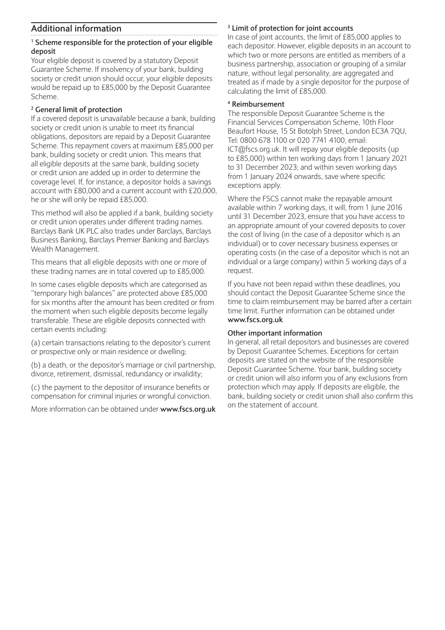### **Additional information**

#### **1 Scheme responsible for the protection of your eligible deposit**

Your eligible deposit is covered by a statutory Deposit Guarantee Scheme. If insolvency of your bank, building society or credit union should occur, your eligible deposits would be repaid up to £85,000 by the Deposit Guarantee Scheme.

#### **2 General limit of protection**

If a covered deposit is unavailable because a bank, building society or credit union is unable to meet its financial obligations, depositors are repaid by a Deposit Guarantee Scheme. This repayment covers at maximum £85,000 per bank, building society or credit union. This means that all eligible deposits at the same bank, building society or credit union are added up in order to determine the coverage level. If, for instance, a depositor holds a savings account with £80,000 and a current account with £20,000, he or she will only be repaid £85,000.

This method will also be applied if a bank, building society or credit union operates under different trading names. Barclays Bank UK PLC also trades under Barclays, Barclays Business Banking, Barclays Premier Banking and Barclays Wealth Management.

This means that all eligible deposits with one or more of these trading names are in total covered up to £85,000.

In some cases eligible deposits which are categorised as "temporary high balances" are protected above £85,000 for six months after the amount has been credited or from the moment when such eligible deposits become legally transferable. These are eligible deposits connected with certain events including:

(a) certain transactions relating to the depositor's current or prospective only or main residence or dwelling;

(b) a death, or the depositor's marriage or civil partnership, divorce, retirement, dismissal, redundancy or invalidity;

(c) the payment to the depositor of insurance benefits or compensation for criminal injuries or wrongful conviction.

More information can be obtained under **www.fscs.org.uk**

#### **3 Limit of protection for joint accounts**

In case of joint accounts, the limit of £85,000 applies to each depositor. However, eligible deposits in an account to which two or more persons are entitled as members of a business partnership, association or grouping of a similar nature, without legal personality, are aggregated and treated as if made by a single depositor for the purpose of calculating the limit of £85,000.

#### **4 Reimbursement**

The responsible Deposit Guarantee Scheme is the Financial Services Compensation Scheme, 10th Floor Beaufort House, 15 St Botolph Street, London EC3A 7QU, Tel: 0800 678 1100 or 020 7741 4100, email: ICT@fscs.org.uk. It will repay your eligible deposits (up to £85,000) within ten working days from 1 January 2021 to 31 December 2023; and within seven working days from 1 January 2024 onwards, save where specific exceptions apply.

Where the FSCS cannot make the repayable amount available within 7 working days, it will, from 1 June 2016 until 31 December 2023, ensure that you have access to an appropriate amount of your covered deposits to cover the cost of living (in the case of a depositor which is an individual) or to cover necessary business expenses or operating costs (in the case of a depositor which is not an individual or a large company) within 5 working days of a request.

If you have not been repaid within these deadlines, you should contact the Deposit Guarantee Scheme since the time to claim reimbursement may be barred after a certain time limit. Further information can be obtained under **www.fscs.org.uk**

#### **Other important information**

In general, all retail depositors and businesses are covered by Deposit Guarantee Schemes. Exceptions for certain deposits are stated on the website of the responsible Deposit Guarantee Scheme. Your bank, building society or credit union will also inform you of any exclusions from protection which may apply. If deposits are eligible, the bank, building society or credit union shall also confirm this on the statement of account.